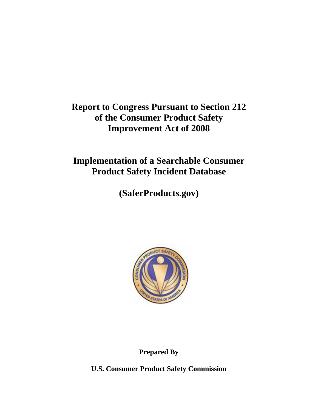## **Report to Congress Pursuant to Section 212 of the Consumer Product Safety Improvement Act of 2008**

**Implementation of a Searchable Consumer Product Safety Incident Database** 

**(SaferProducts.gov)** 



**Prepared By** 

**U.S. Consumer Product Safety Commission**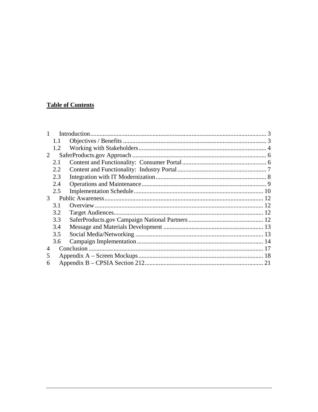### **Table of Contents**

|                | 1.1 |  |  |
|----------------|-----|--|--|
|                | 1.2 |  |  |
| 2              |     |  |  |
|                | 2.1 |  |  |
|                | 2.2 |  |  |
|                | 2.3 |  |  |
|                | 2.4 |  |  |
|                | 2.5 |  |  |
| $\mathfrak{Z}$ |     |  |  |
|                | 3.1 |  |  |
|                | 3.2 |  |  |
|                | 3.3 |  |  |
|                | 3.4 |  |  |
|                | 3.5 |  |  |
|                | 3.6 |  |  |
| 4              |     |  |  |
| 5              |     |  |  |
|                |     |  |  |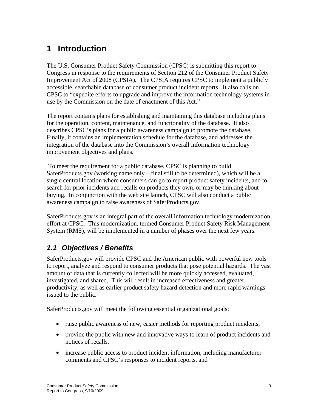## **1 Introduction**

The U.S. Consumer Product Safety Commission (CPSC) is submitting this report to Congress in response to the requirements of Section 212 of the Consumer Product Safety Improvement Act of 2008 (CPSIA). The CPSIA requires CPSC to implement a publicly accessible, searchable database of consumer product incident reports. It also calls on CPSC to "expedite efforts to upgrade and improve the information technology systems in use by the Commission on the date of enactment of this Act."

The report contains plans for establishing and maintaining this database including plans for the operation, content, maintenance, and functionality of the database. It also describes CPSC's plans for a public awareness campaign to promote the database. Finally, it contains an implementation schedule for the database, and addresses the integration of the database into the Commission's overall information technology improvement objectives and plans.

 To meet the requirement for a public database, CPSC is planning to build SaferProducts.gov (working name only – final still to be determined), which will be a single central location where consumers can go to report product safety incidents, and to search for prior incidents and recalls on products they own, or may be thinking about buying. In conjunction with the web site launch, CPSC will also conduct a public awareness campaign to raise awareness of SaferProducts.gov.

SaferProducts.gov is an integral part of the overall information technology modernization effort at CPSC. This modernization, termed Consumer Product Safety Risk Management System (RMS), will be implemented in a number of phases over the next few years.

## *1.1 Objectives / Benefits*

SaferProducts.gov will provide CPSC and the American public with powerful new tools to report, analyze and respond to consumer products that pose potential hazards. The vast amount of data that is currently collected will be more quickly accessed, evaluated, investigated, and shared. This will result in increased effectiveness and greater productivity, as well as earlier product safety hazard detection and more rapid warnings issued to the public.

SaferProducts.gov will meet the following essential organizational goals:

- raise public awareness of new, easier methods for reporting product incidents,
- provide the public with new and innovative ways to learn of product incidents and notices of recalls,
- increase public access to product incident information, including manufacturer comments and CPSC's responses to incident reports, and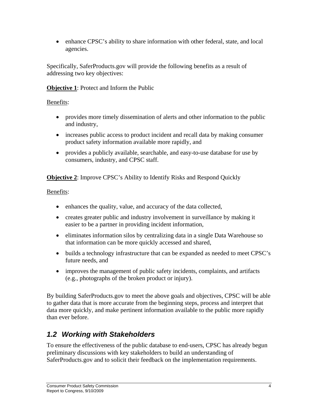• enhance CPSC's ability to share information with other federal, state, and local agencies.

Specifically, SaferProducts.gov will provide the following benefits as a result of addressing two key objectives:

**Objective 1**: Protect and Inform the Public

#### Benefits:

- provides more timely dissemination of alerts and other information to the public and industry,
- increases public access to product incident and recall data by making consumer product safety information available more rapidly, and
- provides a publicly available, searchable, and easy-to-use database for use by consumers, industry, and CPSC staff.

**Objective 2:** Improve CPSC's Ability to Identify Risks and Respond Quickly

### Benefits:

- enhances the quality, value, and accuracy of the data collected,
- creates greater public and industry involvement in surveillance by making it easier to be a partner in providing incident information,
- eliminates information silos by centralizing data in a single Data Warehouse so that information can be more quickly accessed and shared,
- builds a technology infrastructure that can be expanded as needed to meet CPSC's future needs, and
- improves the management of public safety incidents, complaints, and artifacts (e.g., photographs of the broken product or injury).

By building SaferProducts.gov to meet the above goals and objectives, CPSC will be able to gather data that is more accurate from the beginning steps, process and interpret that data more quickly, and make pertinent information available to the public more rapidly than ever before.

## *1.2 Working with Stakeholders*

To ensure the effectiveness of the public database to end-users, CPSC has already begun preliminary discussions with key stakeholders to build an understanding of SaferProducts.gov and to solicit their feedback on the implementation requirements.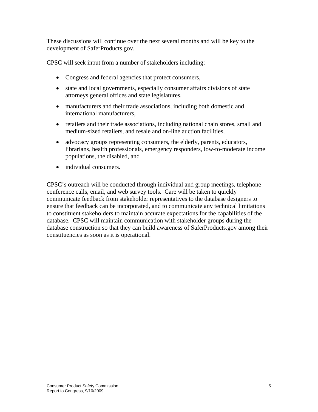These discussions will continue over the next several months and will be key to the development of SaferProducts.gov.

CPSC will seek input from a number of stakeholders including:

- Congress and federal agencies that protect consumers,
- state and local governments, especially consumer affairs divisions of state attorneys general offices and state legislatures,
- manufacturers and their trade associations, including both domestic and international manufacturers,
- retailers and their trade associations, including national chain stores, small and medium-sized retailers, and resale and on-line auction facilities,
- advocacy groups representing consumers, the elderly, parents, educators, librarians, health professionals, emergency responders, low-to-moderate income populations, the disabled, and
- individual consumers.

CPSC's outreach will be conducted through individual and group meetings, telephone conference calls, email, and web survey tools. Care will be taken to quickly communicate feedback from stakeholder representatives to the database designers to ensure that feedback can be incorporated, and to communicate any technical limitations to constituent stakeholders to maintain accurate expectations for the capabilities of the database. CPSC will maintain communication with stakeholder groups during the database construction so that they can build awareness of SaferProducts.gov among their constituencies as soon as it is operational.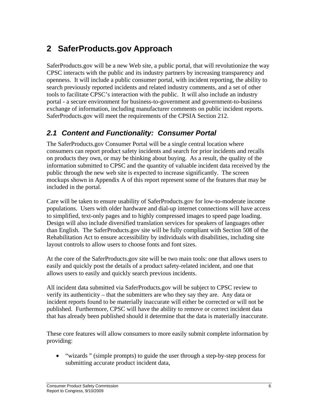# **2 SaferProducts.gov Approach**

SaferProducts.gov will be a new Web site, a public portal, that will revolutionize the way CPSC interacts with the public and its industry partners by increasing transparency and openness. It will include a public consumer portal, with incident reporting, the ability to search previously reported incidents and related industry comments, and a set of other tools to facilitate CPSC's interaction with the public. It will also include an industry portal - a secure environment for business-to-government and government-to-business exchange of information, including manufacturer comments on public incident reports. SaferProducts.gov will meet the requirements of the CPSIA Section 212.

### *2.1 Content and Functionality: Consumer Portal*

The SaferProducts.gov Consumer Portal will be a single central location where consumers can report product safety incidents and search for prior incidents and recalls on products they own, or may be thinking about buying. As a result, the quality of the information submitted to CPSC and the quantity of valuable incident data received by the public through the new web site is expected to increase significantly. The screen mockups shown in Appendix A of this report represent some of the features that may be included in the portal.

Care will be taken to ensure usability of SaferProducts.gov for low-to-moderate income populations. Users with older hardware and dial-up internet connections will have access to simplified, text-only pages and to highly compressed images to speed page loading. Design will also include diversified translation services for speakers of languages other than English. The SaferProducts.gov site will be fully compliant with Section 508 of the Rehabilitation Act to ensure accessibility by individuals with disabilities, including site layout controls to allow users to choose fonts and font sizes.

At the core of the SaferProducts.gov site will be two main tools: one that allows users to easily and quickly post the details of a product safety-related incident, and one that allows users to easily and quickly search previous incidents.

All incident data submitted via SaferProducts.gov will be subject to CPSC review to verify its authenticity – that the submitters are who they say they are. Any data or incident reports found to be materially inaccurate will either be corrected or will not be published. Furthermore, CPSC will have the ability to remove or correct incident data that has already been published should it determine that the data is materially inaccurate.

These core features will allow consumers to more easily submit complete information by providing:

• "wizards " (simple prompts) to guide the user through a step-by-step process for submitting accurate product incident data,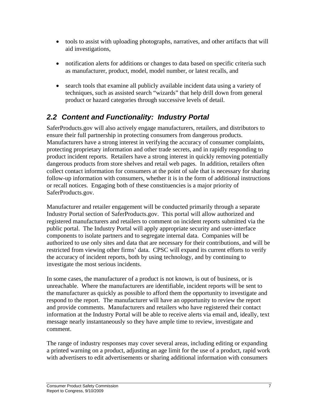- tools to assist with uploading photographs, narratives, and other artifacts that will aid investigations,
- notification alerts for additions or changes to data based on specific criteria such as manufacturer, product, model, model number, or latest recalls, and
- search tools that examine all publicly available incident data using a variety of techniques, such as assisted search "wizards" that help drill down from general product or hazard categories through successive levels of detail.

### *2.2 Content and Functionality: Industry Portal*

SaferProducts.gov will also actively engage manufacturers, retailers, and distributors to ensure their full partnership in protecting consumers from dangerous products. Manufacturers have a strong interest in verifying the accuracy of consumer complaints, protecting proprietary information and other trade secrets, and in rapidly responding to product incident reports. Retailers have a strong interest in quickly removing potentially dangerous products from store shelves and retail web pages. In addition, retailers often collect contact information for consumers at the point of sale that is necessary for sharing follow-up information with consumers, whether it is in the form of additional instructions or recall notices. Engaging both of these constituencies is a major priority of SaferProducts.gov.

Manufacturer and retailer engagement will be conducted primarily through a separate Industry Portal section of SaferProducts.gov. This portal will allow authorized and registered manufacturers and retailers to comment on incident reports submitted via the public portal. The Industry Portal will apply appropriate security and user-interface components to isolate partners and to segregate internal data. Companies will be authorized to use only sites and data that are necessary for their contributions, and will be restricted from viewing other firms' data. CPSC will expand its current efforts to verify the accuracy of incident reports, both by using technology, and by continuing to investigate the most serious incidents.

In some cases, the manufacturer of a product is not known, is out of business, or is unreachable. Where the manufacturers are identifiable, incident reports will be sent to the manufacturer as quickly as possible to afford them the opportunity to investigate and respond to the report. The manufacturer will have an opportunity to review the report and provide comments. Manufacturers and retailers who have registered their contact information at the Industry Portal will be able to receive alerts via email and, ideally, text message nearly instantaneously so they have ample time to review, investigate and comment.

The range of industry responses may cover several areas, including editing or expanding a printed warning on a product, adjusting an age limit for the use of a product, rapid work with advertisers to edit advertisements or sharing additional information with consumers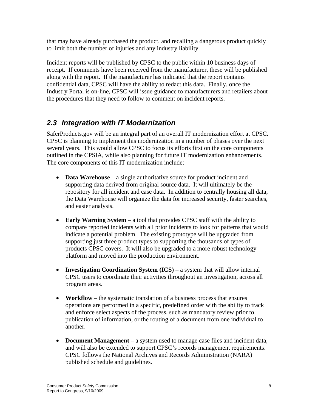that may have already purchased the product, and recalling a dangerous product quickly to limit both the number of injuries and any industry liability.

Incident reports will be published by CPSC to the public within 10 business days of receipt. If comments have been received from the manufacturer, these will be published along with the report. If the manufacturer has indicated that the report contains confidential data, CPSC will have the ability to redact this data. Finally, once the Industry Portal is on-line, CPSC will issue guidance to manufacturers and retailers about the procedures that they need to follow to comment on incident reports.

## *2.3 Integration with IT Modernization*

SaferProducts.gov will be an integral part of an overall IT modernization effort at CPSC. CPSC is planning to implement this modernization in a number of phases over the next several years. This would allow CPSC to focus its efforts first on the core components outlined in the CPSIA, while also planning for future IT modernization enhancements. The core components of this IT modernization include:

- **Data Warehouse** a single authoritative source for product incident and supporting data derived from original source data. It will ultimately be the repository for all incident and case data. In addition to centrally housing all data, the Data Warehouse will organize the data for increased security, faster searches, and easier analysis.
- **Early Warning System** a tool that provides CPSC staff with the ability to compare reported incidents with all prior incidents to look for patterns that would indicate a potential problem. The existing prototype will be upgraded from supporting just three product types to supporting the thousands of types of products CPSC covers. It will also be upgraded to a more robust technology platform and moved into the production environment.
- **Investigation Coordination System (ICS)** a system that will allow internal CPSC users to coordinate their activities throughout an investigation, across all program areas.
- **Workflow** the systematic translation of a business process that ensures operations are performed in a specific, predefined order with the ability to track and enforce select aspects of the process, such as mandatory review prior to publication of information, or the routing of a document from one individual to another.
- **Document Management** a system used to manage case files and incident data, and will also be extended to support CPSC's records management requirements. CPSC follows the National Archives and Records Administration (NARA) published schedule and guidelines.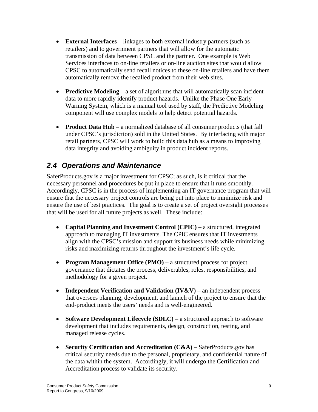- **External Interfaces** linkages to both external industry partners (such as retailers) and to government partners that will allow for the automatic transmission of data between CPSC and the partner. One example is Web Services interfaces to on-line retailers or on-line auction sites that would allow CPSC to automatically send recall notices to these on-line retailers and have them automatically remove the recalled product from their web sites.
- **Predictive Modeling** a set of algorithms that will automatically scan incident data to more rapidly identify product hazards. Unlike the Phase One Early Warning System, which is a manual tool used by staff, the Predictive Modeling component will use complex models to help detect potential hazards.
- **Product Data Hub**  a normalized database of all consumer products (that fall under CPSC's jurisdiction) sold in the United States. By interfacing with major retail partners, CPSC will work to build this data hub as a means to improving data integrity and avoiding ambiguity in product incident reports.

### *2.4 Operations and Maintenance*

SaferProducts.gov is a major investment for CPSC; as such, is it critical that the necessary personnel and procedures be put in place to ensure that it runs smoothly. Accordingly, CPSC is in the process of implementing an IT governance program that will ensure that the necessary project controls are being put into place to minimize risk and ensure the use of best practices. The goal is to create a set of project oversight processes that will be used for all future projects as well. These include:

- **Capital Planning and Investment Control (CPIC)** a structured, integrated approach to managing IT investments. The CPIC ensures that IT investments align with the CPSC's mission and support its business needs while minimizing risks and maximizing returns throughout the investment's life cycle.
- **Program Management Office (PMO)** a structured process for project governance that dictates the process, deliverables, roles, responsibilities, and methodology for a given project.
- **Independent Verification and Validation (IV&V)** an independent process that oversees planning, development, and launch of the project to ensure that the end-product meets the users' needs and is well-engineered.
- **Software Development Lifecycle (SDLC)** a structured approach to software development that includes requirements, design, construction, testing, and managed release cycles.
- **Security Certification and Accreditation (C&A)** SaferProducts.gov has critical security needs due to the personal, proprietary, and confidential nature of the data within the system. Accordingly, it will undergo the Certification and Accreditation process to validate its security.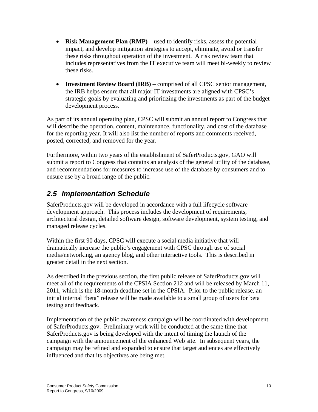- **Risk Management Plan (RMP)** used to identify risks, assess the potential impact, and develop mitigation strategies to accept, eliminate, avoid or transfer these risks throughout operation of the investment. A risk review team that includes representatives from the IT executive team will meet bi-weekly to review these risks.
- **Investment Review Board (IRB)** comprised of all CPSC senior management, the IRB helps ensure that all major IT investments are aligned with CPSC's strategic goals by evaluating and prioritizing the investments as part of the budget development process.

As part of its annual operating plan, CPSC will submit an annual report to Congress that will describe the operation, content, maintenance, functionality, and cost of the database for the reporting year. It will also list the number of reports and comments received, posted, corrected, and removed for the year.

Furthermore, within two years of the establishment of SaferProducts.gov, GAO will submit a report to Congress that contains an analysis of the general utility of the database, and recommendations for measures to increase use of the database by consumers and to ensure use by a broad range of the public.

### *2.5 Implementation Schedule*

SaferProducts.gov will be developed in accordance with a full lifecycle software development approach. This process includes the development of requirements, architectural design, detailed software design, software development, system testing, and managed release cycles.

Within the first 90 days, CPSC will execute a social media initiative that will dramatically increase the public's engagement with CPSC through use of social media/networking, an agency blog, and other interactive tools. This is described in greater detail in the next section.

As described in the previous section, the first public release of SaferProducts.gov will meet all of the requirements of the CPSIA Section 212 and will be released by March 11, 2011, which is the 18-month deadline set in the CPSIA. Prior to the public release, an initial internal "beta" release will be made available to a small group of users for beta testing and feedback.

Implementation of the public awareness campaign will be coordinated with development of SaferProducts.gov. Preliminary work will be conducted at the same time that SaferProducts.gov is being developed with the intent of timing the launch of the campaign with the announcement of the enhanced Web site. In subsequent years, the campaign may be refined and expanded to ensure that target audiences are effectively influenced and that its objectives are being met.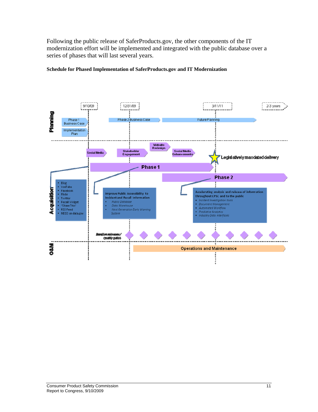Following the public release of SaferProducts.gov, the other components of the IT modernization effort will be implemented and integrated with the public database over a series of phases that will last several years.



#### **Schedule for Phased Implementation of SaferProducts.gov and IT Modernization**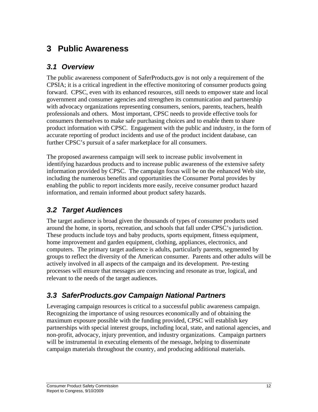## **3 Public Awareness**

### *3.1 Overview*

The public awareness component of SaferProducts.gov is not only a requirement of the CPSIA; it is a critical ingredient in the effective monitoring of consumer products going forward. CPSC, even with its enhanced resources, still needs to empower state and local government and consumer agencies and strengthen its communication and partnership with advocacy organizations representing consumers, seniors, parents, teachers, health professionals and others. Most important, CPSC needs to provide effective tools for consumers themselves to make safe purchasing choices and to enable them to share product information with CPSC. Engagement with the public and industry, in the form of accurate reporting of product incidents and use of the product incident database, can further CPSC's pursuit of a safer marketplace for all consumers.

The proposed awareness campaign will seek to increase public involvement in identifying hazardous products and to increase public awareness of the extensive safety information provided by CPSC. The campaign focus will be on the enhanced Web site, including the numerous benefits and opportunities the Consumer Portal provides by enabling the public to report incidents more easily, receive consumer product hazard information, and remain informed about product safety hazards.

### *3.2 Target Audiences*

The target audience is broad given the thousands of types of consumer products used around the home, in sports, recreation, and schools that fall under CPSC's jurisdiction. These products include toys and baby products, sports equipment, fitness equipment, home improvement and garden equipment, clothing, appliances, electronics, and computers. The primary target audience is adults, particularly parents, segmented by groups to reflect the diversity of the American consumer. Parents and other adults will be actively involved in all aspects of the campaign and its development. Pre-testing processes will ensure that messages are convincing and resonate as true, logical, and relevant to the needs of the target audiences.

## *3.3 SaferProducts.gov Campaign National Partners*

Leveraging campaign resources is critical to a successful public awareness campaign. Recognizing the importance of using resources economically and of obtaining the maximum exposure possible with the funding provided, CPSC will establish key partnerships with special interest groups, including local, state, and national agencies, and non-profit, advocacy, injury prevention, and industry organizations. Campaign partners will be instrumental in executing elements of the message, helping to disseminate campaign materials throughout the country, and producing additional materials.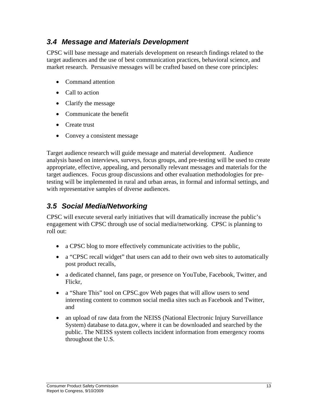### *3.4 Message and Materials Development*

CPSC will base message and materials development on research findings related to the target audiences and the use of best communication practices, behavioral science, and market research. Persuasive messages will be crafted based on these core principles:

- Command attention
- Call to action
- Clarify the message
- Communicate the benefit
- Create trust
- Convey a consistent message

Target audience research will guide message and material development. Audience analysis based on interviews, surveys, focus groups, and pre-testing will be used to create appropriate, effective, appealing, and personally relevant messages and materials for the target audiences. Focus group discussions and other evaluation methodologies for pretesting will be implemented in rural and urban areas, in formal and informal settings, and with representative samples of diverse audiences.

## *3.5 Social Media/Networking*

CPSC will execute several early initiatives that will dramatically increase the public's engagement with CPSC through use of social media/networking. CPSC is planning to roll out:

- a CPSC blog to more effectively communicate activities to the public,
- a "CPSC recall widget" that users can add to their own web sites to automatically post product recalls,
- a dedicated channel, fans page, or presence on YouTube, Facebook, Twitter, and Flickr,
- a "Share This" tool on CPSC.gov Web pages that will allow users to send interesting content to common social media sites such as Facebook and Twitter, and
- an upload of raw data from the NEISS (National Electronic Injury Surveillance System) database to data.gov, where it can be downloaded and searched by the public. The NEISS system collects incident information from emergency rooms throughout the U.S.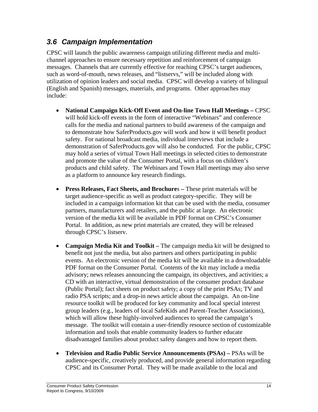### *3.6 Campaign Implementation*

CPSC will launch the public awareness campaign utilizing different media and multichannel approaches to ensure necessary repetition and reinforcement of campaign messages. Channels that are currently effective for reaching CPSC's target audiences, such as word-of-mouth, news releases, and "listservs," will be included along with utilization of opinion leaders and social media. CPSC will develop a variety of bilingual (English and Spanish) messages, materials, and programs. Other approaches may include:

- **National Campaign Kick-Off Event and On-line Town Hall Meetings** CPSC will hold kick-off events in the form of interactive "Webinars" and conference calls for the media and national partners to build awareness of the campaign and to demonstrate how SaferProducts.gov will work and how it will benefit product safety. For national broadcast media, individual interviews that include a demonstration of SaferProducts.gov will also be conducted. For the public, CPSC may hold a series of virtual Town Hall meetings in selected cities to demonstrate and promote the value of the Consumer Portal, with a focus on children's products and child safety. The Webinars and Town Hall meetings may also serve as a platform to announce key research findings.
- **Press Releases, Fact Sheets, and Brochure**sThese print materials will be target audience-specific as well as product category-specific. They will be included in a campaign information kit that can be used with the media, consumer partners, manufacturers and retailers, and the public at large. An electronic version of the media kit will be available in PDF format on CPSC's Consumer Portal. In addition, as new print materials are created, they will be released through CPSC's listserv.
- **Campaign Media Kit and Toolkit** The campaign media kit will be designed to benefit not just the media, but also partners and others participating in public events. An electronic version of the media kit will be available in a downloadable PDF format on the Consumer Portal. Contents of the kit may include a media advisory; news releases announcing the campaign, its objectives, and activities; a CD with an interactive, virtual demonstration of the consumer product database (Public Portal); fact sheets on product safety; a copy of the print PSAs; TV and radio PSA scripts; and a drop-in news article about the campaign. An on-line resource toolkit will be produced for key community and local special interest group leaders (e.g., leaders of local SafeKids and Parent-Teacher Associations), which will allow these highly-involved audiences to spread the campaign's message. The toolkit will contain a user-friendly resource section of customizable information and tools that enable community leaders to further educate disadvantaged families about product safety dangers and how to report them.
- **Television and Radio Public Service Announcements (PSAs)** PSAs will be audience-specific, creatively produced, and provide general information regarding CPSC and its Consumer Portal. They will be made available to the local and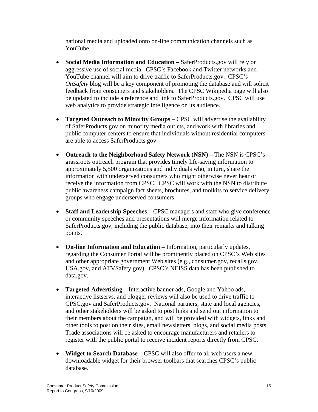national media and uploaded onto on-line communication channels such as YouTube.

- **Social Media Information and Education** SaferProducts.gov will rely on aggressive use of social media. CPSC's Facebook and Twitter networks and YouTube channel will aim to drive traffic to SaferProducts.gov. CPSC's *OnSafety* blog will be a key component of promoting the database and will solicit feedback from consumers and stakeholders. The CPSC Wikipedia page will also be updated to include a reference and link to SaferProducts.gov. CPSC will use web analytics to provide strategic intelligence on its audience.
- **Targeted Outreach to Minority Groups** CPSC will advertise the availability of SaferProducts.gov on minority media outlets, and work with libraries and public computer centers to ensure that individuals without residential computers are able to access SaferProducts.gov.
- Outreach to the Neighborhood Safety Network (NSN) The NSN is CPSC's grassroots outreach program that provides timely life-saving information to approximately 5,500 organizations and individuals who, in turn, share the information with underserved consumers who might otherwise never hear or receive the information from CPSC. CPSC will work with the NSN to distribute public awareness campaign fact sheets, brochures, and toolkits to service delivery groups who engage underserved consumers.
- **Staff and Leadership Speeches** CPSC managers and staff who give conference or community speeches and presentations will merge information related to SaferProducts.gov, including the public database, into their remarks and talking points.
- **On-line Information and Education** Information, particularly updates, regarding the Consumer Portal will be prominently placed on CPSC's Web sites and other appropriate government Web sites (e.g., consumer.gov, recalls.gov, USA.gov, and ATVSafety.gov). CPSC's NEISS data has been published to data.gov.
- **Targeted Advertising** Interactive banner ads, Google and Yahoo ads, interactive listservs, and blogger reviews will also be used to drive traffic to CPSC.gov and SaferProducts.gov. National partners, state and local agencies, and other stakeholders will be asked to post links and send out information to their members about the campaign, and will be provided with widgets, links and other tools to post on their sites, email newsletters, blogs, and social media posts. Trade associations will be asked to encourage manufacturers and retailers to register with the public portal to receive incident reports directly from CPSC.
- **Widget to Search Database** CPSC will also offer to all web users a new downloadable widget for their browser toolbars that searches CPSC's public database.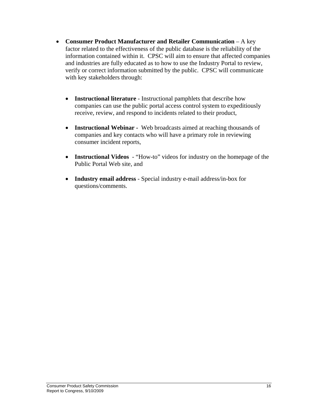- **Consumer Product Manufacturer and Retailer Communication** A key factor related to the effectiveness of the public database is the reliability of the information contained within it. CPSC will aim to ensure that affected companies and industries are fully educated as to how to use the Industry Portal to review, verify or correct information submitted by the public. CPSC will communicate with key stakeholders through:
	- **Instructional literature** Instructional pamphlets that describe how companies can use the public portal access control system to expeditiously receive, review, and respond to incidents related to their product,
	- **Instructional Webinar** Web broadcasts aimed at reaching thousands of companies and key contacts who will have a primary role in reviewing consumer incident reports,
	- **Instructional Videos** "How-to" videos for industry on the homepage of the Public Portal Web site, and
	- **Industry email address** Special industry e-mail address/in-box for questions/comments.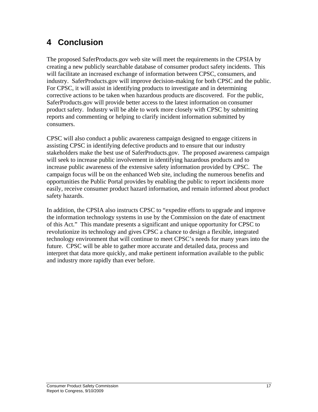# **4 Conclusion**

The proposed SaferProducts.gov web site will meet the requirements in the CPSIA by creating a new publicly searchable database of consumer product safety incidents. This will facilitate an increased exchange of information between CPSC, consumers, and industry. SaferProducts.gov will improve decision-making for both CPSC and the public. For CPSC, it will assist in identifying products to investigate and in determining corrective actions to be taken when hazardous products are discovered. For the public, SaferProducts.gov will provide better access to the latest information on consumer product safety. Industry will be able to work more closely with CPSC by submitting reports and commenting or helping to clarify incident information submitted by consumers.

CPSC will also conduct a public awareness campaign designed to engage citizens in assisting CPSC in identifying defective products and to ensure that our industry stakeholders make the best use of SaferProducts.gov. The proposed awareness campaign will seek to increase public involvement in identifying hazardous products and to increase public awareness of the extensive safety information provided by CPSC. The campaign focus will be on the enhanced Web site, including the numerous benefits and opportunities the Public Portal provides by enabling the public to report incidents more easily, receive consumer product hazard information, and remain informed about product safety hazards.

In addition, the CPSIA also instructs CPSC to "expedite efforts to upgrade and improve the information technology systems in use by the Commission on the date of enactment of this Act." This mandate presents a significant and unique opportunity for CPSC to revolutionize its technology and gives CPSC a chance to design a flexible, integrated technology environment that will continue to meet CPSC's needs for many years into the future. CPSC will be able to gather more accurate and detailed data, process and interpret that data more quickly, and make pertinent information available to the public and industry more rapidly than ever before.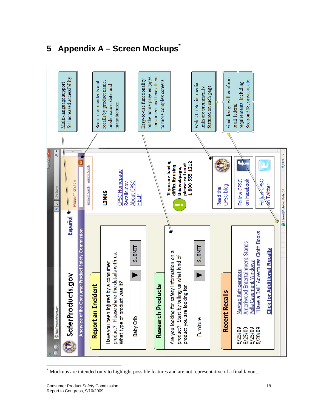# **5 Appendix A – Screen Mockups\***



<sup>\*</sup> Mockups are intended only to highlight possible features and are not representative of a final layout.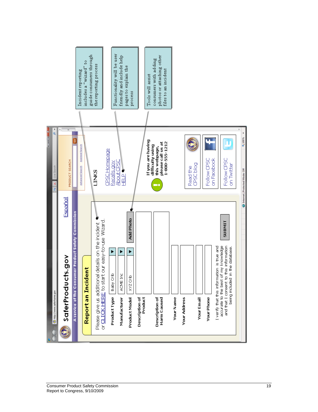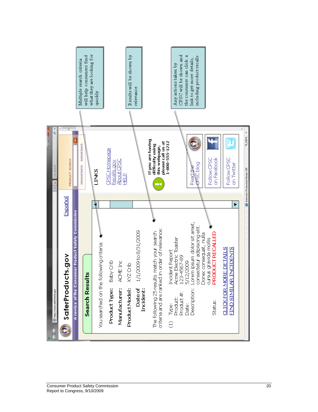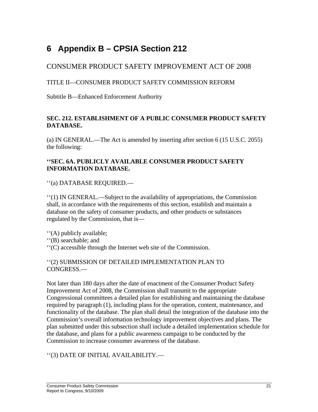# **6 Appendix B – CPSIA Section 212**

### CONSUMER PRODUCT SAFETY IMPROVEMENT ACT OF 2008

#### TITLE II—CONSUMER PRODUCT SAFETY COMMISSION REFORM

Subtitle B—Enhanced Enforcement Authority

#### **SEC. 212. ESTABLISHMENT OF A PUBLIC CONSUMER PRODUCT SAFETY DATABASE.**

(a) IN GENERAL.—The Act is amended by inserting after section 6 (15 U.S.C. 2055) the following:

#### **''SEC. 6A. PUBLICLY AVAILABLE CONSUMER PRODUCT SAFETY INFORMATION DATABASE.**

#### ''(a) DATABASE REQUIRED.—

''(1) IN GENERAL.—Subject to the availability of appropriations, the Commission shall, in accordance with the requirements of this section, establish and maintain a database on the safety of consumer products, and other products or substances regulated by the Commission, that is—

''(A) publicly available;

''(B) searchable; and

''(C) accessible through the Internet web site of the Commission.

#### ''(2) SUBMISSION OF DETAILED IMPLEMENTATION PLAN TO CONGRESS.—

Not later than 180 days after the date of enactment of the Consumer Product Safety Improvement Act of 2008, the Commission shall transmit to the appropriate Congressional committees a detailed plan for establishing and maintaining the database required by paragraph (1), including plans for the operation, content, maintenance, and functionality of the database. The plan shall detail the integration of the database into the Commission's overall information technology improvement objectives and plans. The plan submitted under this subsection shall include a detailed implementation schedule for the database, and plans for a public awareness campaign to be conducted by the Commission to increase consumer awareness of the database.

#### ''(3) DATE OF INITIAL AVAILABILITY.—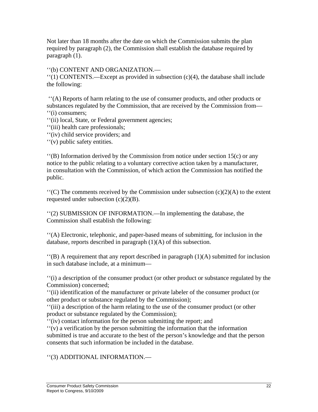Not later than 18 months after the date on which the Commission submits the plan required by paragraph (2), the Commission shall establish the database required by paragraph (1).

#### ''(b) CONTENT AND ORGANIZATION.—

''(1) CONTENTS.—Except as provided in subsection (c)(4), the database shall include the following:

 ''(A) Reports of harm relating to the use of consumer products, and other products or substances regulated by the Commission, that are received by the Commission from— ''(i) consumers;

''(ii) local, State, or Federal government agencies;

- ''(iii) health care professionals;
- ''(iv) child service providers; and
- ''(v) public safety entities.

 $\lq\lq$ ) Information derived by the Commission from notice under section 15(c) or any notice to the public relating to a voluntary corrective action taken by a manufacturer, in consultation with the Commission, of which action the Commission has notified the public.

 $C(C)$  The comments received by the Commission under subsection  $(c)(2)(A)$  to the extent requested under subsection  $(c)(2)(B)$ .

''(2) SUBMISSION OF INFORMATION.—In implementing the database, the Commission shall establish the following:

''(A) Electronic, telephonic, and paper-based means of submitting, for inclusion in the database, reports described in paragraph (1)(A) of this subsection.

 $\lq$ (B) A requirement that any report described in paragraph (1)(A) submitted for inclusion in such database include, at a minimum—

''(i) a description of the consumer product (or other product or substance regulated by the Commission) concerned;

''(ii) identification of the manufacturer or private labeler of the consumer product (or other product or substance regulated by the Commission);

''(iii) a description of the harm relating to the use of the consumer product (or other product or substance regulated by the Commission);

''(iv) contact information for the person submitting the report; and

''(v) a verification by the person submitting the information that the information submitted is true and accurate to the best of the person's knowledge and that the person consents that such information be included in the database.

''(3) ADDITIONAL INFORMATION.—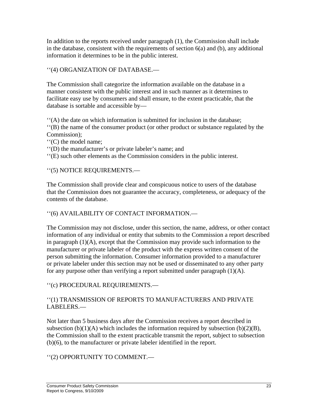In addition to the reports received under paragraph (1), the Commission shall include in the database, consistent with the requirements of section 6(a) and (b), any additional information it determines to be in the public interest.

#### ''(4) ORGANIZATION OF DATABASE.—

The Commission shall categorize the information available on the database in a manner consistent with the public interest and in such manner as it determines to facilitate easy use by consumers and shall ensure, to the extent practicable, that the database is sortable and accessible by—

''(A) the date on which information is submitted for inclusion in the database;

''(B) the name of the consumer product (or other product or substance regulated by the Commission);

''(C) the model name;

''(D) the manufacturer's or private labeler's name; and

''(E) such other elements as the Commission considers in the public interest.

#### ''(5) NOTICE REQUIREMENTS.—

The Commission shall provide clear and conspicuous notice to users of the database that the Commission does not guarantee the accuracy, completeness, or adequacy of the contents of the database.

#### ''(6) AVAILABILITY OF CONTACT INFORMATION.—

The Commission may not disclose, under this section, the name, address, or other contact information of any individual or entity that submits to the Commission a report described in paragraph (1)(A), except that the Commission may provide such information to the manufacturer or private labeler of the product with the express written consent of the person submitting the information. Consumer information provided to a manufacturer or private labeler under this section may not be used or disseminated to any other party for any purpose other than verifying a report submitted under paragraph  $(1)(A)$ .

''(c) PROCEDURAL REQUIREMENTS.—

#### ''(1) TRANSMISSION OF REPORTS TO MANUFACTURERS AND PRIVATE LABELERS.—

Not later than 5 business days after the Commission receives a report described in subsection (b)(1)(A) which includes the information required by subsection (b)(2)(B), the Commission shall to the extent practicable transmit the report, subject to subsection (b)(6), to the manufacturer or private labeler identified in the report.

''(2) OPPORTUNITY TO COMMENT.—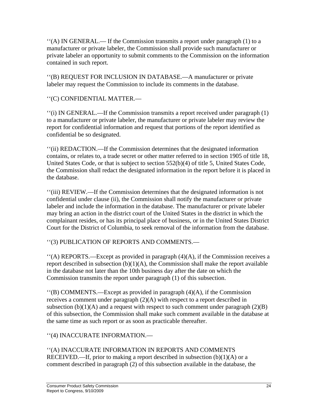''(A) IN GENERAL.— If the Commission transmits a report under paragraph (1) to a manufacturer or private labeler, the Commission shall provide such manufacturer or private labeler an opportunity to submit comments to the Commission on the information contained in such report.

''(B) REQUEST FOR INCLUSION IN DATABASE.—A manufacturer or private labeler may request the Commission to include its comments in the database.

''(C) CONFIDENTIAL MATTER.—

''(i) IN GENERAL.—If the Commission transmits a report received under paragraph (1) to a manufacturer or private labeler, the manufacturer or private labeler may review the report for confidential information and request that portions of the report identified as confidential be so designated.

''(ii) REDACTION.—If the Commission determines that the designated information contains, or relates to, a trade secret or other matter referred to in section 1905 of title 18, United States Code, or that is subject to section 552(b)(4) of title 5, United States Code, the Commission shall redact the designated information in the report before it is placed in the database.

''(iii) REVIEW.—If the Commission determines that the designated information is not confidential under clause (ii), the Commission shall notify the manufacturer or private labeler and include the information in the database. The manufacturer or private labeler may bring an action in the district court of the United States in the district in which the complainant resides, or has its principal place of business, or in the United States District Court for the District of Columbia, to seek removal of the information from the database.

''(3) PUBLICATION OF REPORTS AND COMMENTS.—

 $\lq\lq$ (A) REPORTS.—Except as provided in paragraph (4)(A), if the Commission receives a report described in subsection  $(b)(1)(A)$ , the Commission shall make the report available in the database not later than the 10th business day after the date on which the Commission transmits the report under paragraph (1) of this subsection.

''(B) COMMENTS.—Except as provided in paragraph (4)(A), if the Commission receives a comment under paragraph (2)(A) with respect to a report described in subsection  $(b)(1)(A)$  and a request with respect to such comment under paragraph  $(2)(B)$ of this subsection, the Commission shall make such comment available in the database at the same time as such report or as soon as practicable thereafter.

''(4) INACCURATE INFORMATION.—

''(A) INACCURATE INFORMATION IN REPORTS AND COMMENTS RECEIVED.—If, prior to making a report described in subsection  $(b)(1)(A)$  or a comment described in paragraph (2) of this subsection available in the database, the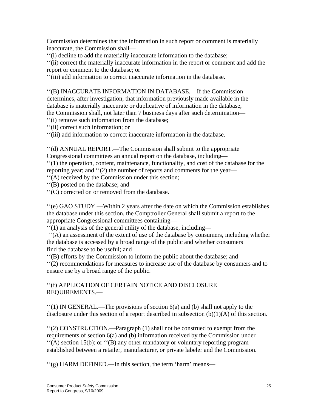Commission determines that the information in such report or comment is materially inaccurate, the Commission shall—

''(i) decline to add the materially inaccurate information to the database;

''(ii) correct the materially inaccurate information in the report or comment and add the report or comment to the database; or

''(iii) add information to correct inaccurate information in the database.

''(B) INACCURATE INFORMATION IN DATABASE.—If the Commission determines, after investigation, that information previously made available in the database is materially inaccurate or duplicative of information in the database, the Commission shall, not later than 7 business days after such determination— ''(i) remove such information from the database;

''(ii) correct such information; or

''(iii) add information to correct inaccurate information in the database.

''(d) ANNUAL REPORT.—The Commission shall submit to the appropriate Congressional committees an annual report on the database, including—

''(1) the operation, content, maintenance, functionality, and cost of the database for the reporting year; and ''(2) the number of reports and comments for the year—

''(A) received by the Commission under this section;

''(B) posted on the database; and

''(C) corrected on or removed from the database.

''(e) GAO STUDY.—Within 2 years after the date on which the Commission establishes the database under this section, the Comptroller General shall submit a report to the appropriate Congressional committees containing—

''(1) an analysis of the general utility of the database, including—

 ''(A) an assessment of the extent of use of the database by consumers, including whether the database is accessed by a broad range of the public and whether consumers find the database to be useful; and

''(B) efforts by the Commission to inform the public about the database; and

''(2) recommendations for measures to increase use of the database by consumers and to ensure use by a broad range of the public.

''(f) APPLICATION OF CERTAIN NOTICE AND DISCLOSURE REQUIREMENTS.—

''(1) IN GENERAL.—The provisions of section 6(a) and (b) shall not apply to the disclosure under this section of a report described in subsection  $(b)(1)(A)$  of this section.

''(2) CONSTRUCTION.—Paragraph (1) shall not be construed to exempt from the requirements of section 6(a) and (b) information received by the Commission under— ''(A) section 15(b); or ''(B) any other mandatory or voluntary reporting program established between a retailer, manufacturer, or private labeler and the Commission.

''(g) HARM DEFINED.—In this section, the term 'harm' means—